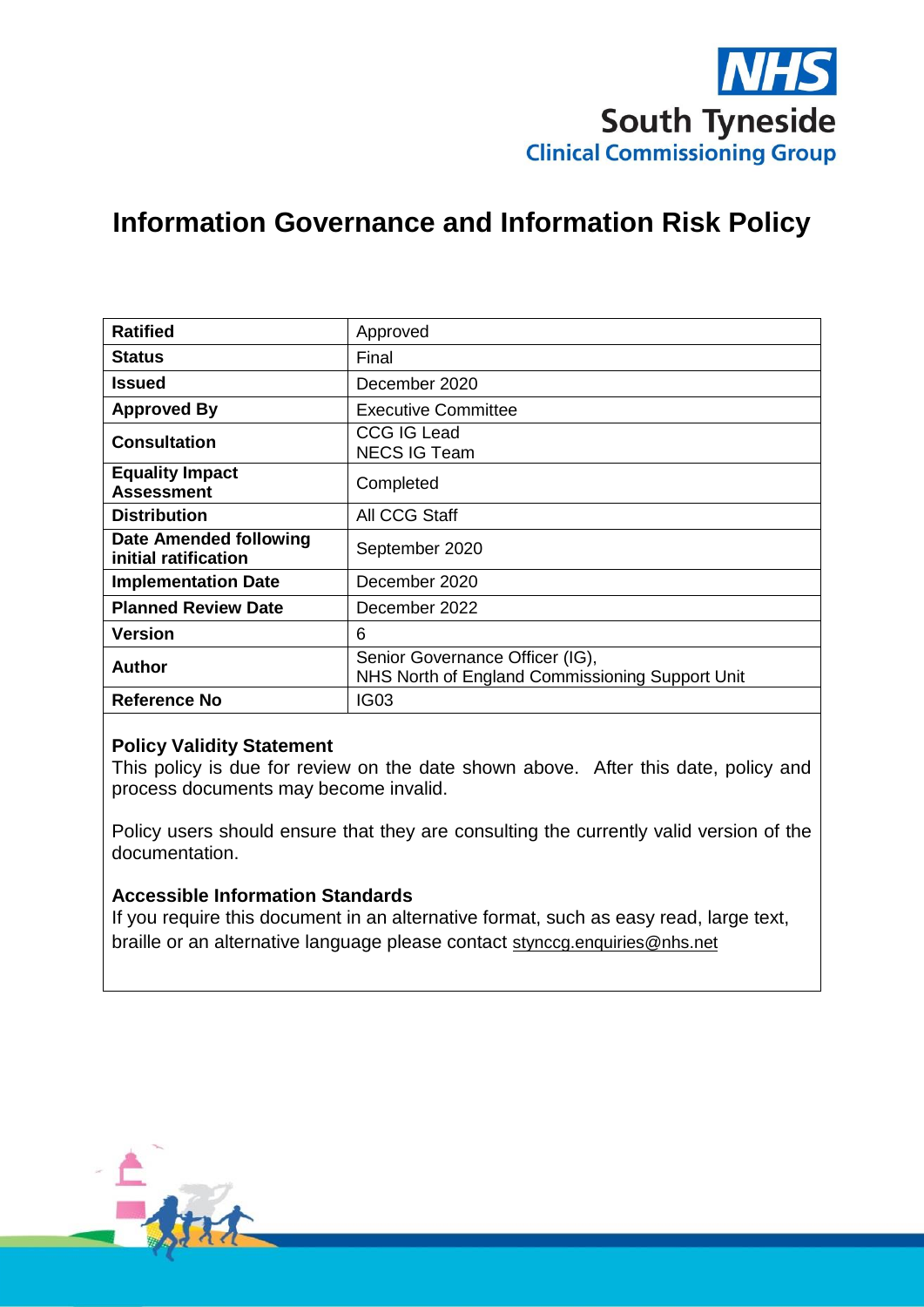

# **Information Governance and Information Risk Policy**

| <b>Ratified</b>                                | Approved                                                                           |
|------------------------------------------------|------------------------------------------------------------------------------------|
| <b>Status</b>                                  | Final                                                                              |
| Issued                                         | December 2020                                                                      |
| <b>Approved By</b>                             | <b>Executive Committee</b>                                                         |
| <b>Consultation</b>                            | <b>CCG IG Lead</b><br><b>NECS IG Team</b>                                          |
| <b>Equality Impact</b><br><b>Assessment</b>    | Completed                                                                          |
| <b>Distribution</b>                            | All CCG Staff                                                                      |
| Date Amended following<br>initial ratification | September 2020                                                                     |
| <b>Implementation Date</b>                     | December 2020                                                                      |
| <b>Planned Review Date</b>                     | December 2022                                                                      |
| Version                                        | 6                                                                                  |
| <b>Author</b>                                  | Senior Governance Officer (IG),<br>NHS North of England Commissioning Support Unit |
| Reference No                                   | IG03                                                                               |

### **Policy Validity Statement**

This policy is due for review on the date shown above. After this date, policy and process documents may become invalid.

Policy users should ensure that they are consulting the currently valid version of the documentation.

### **Accessible Information Standards**

If you require this document in an alternative format, such as easy read, large text, braille or an alternative language please contact [stynccg.enquiries@nhs.net](mailto:stynccg.enquiries@nhs.net)

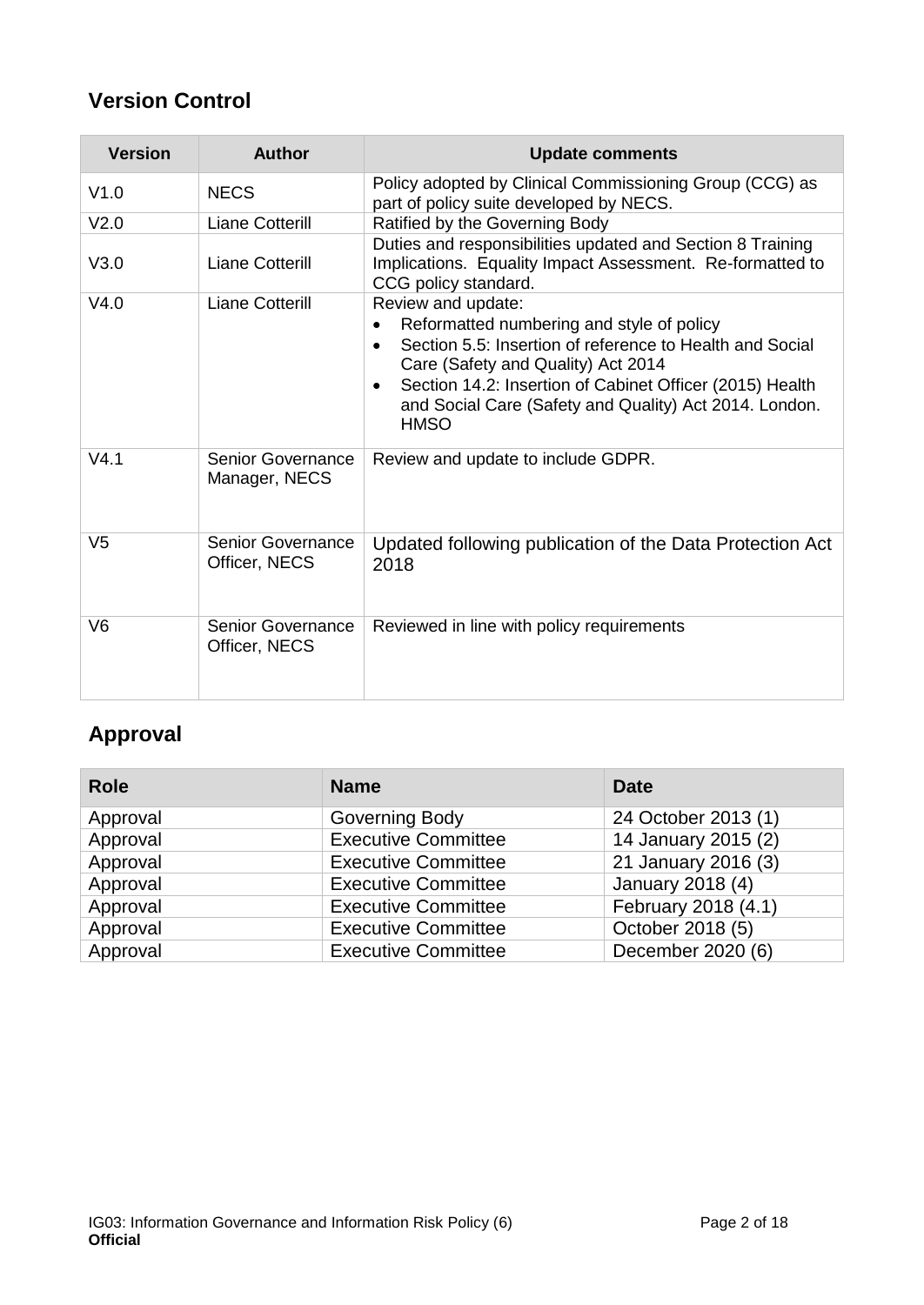# **Version Control**

| <b>Version</b>   | <b>Author</b>                             | <b>Update comments</b>                                                                                                                                                                                                                                                                                 |
|------------------|-------------------------------------------|--------------------------------------------------------------------------------------------------------------------------------------------------------------------------------------------------------------------------------------------------------------------------------------------------------|
| V1.0             | <b>NECS</b>                               | Policy adopted by Clinical Commissioning Group (CCG) as<br>part of policy suite developed by NECS.                                                                                                                                                                                                     |
| V <sub>2.0</sub> | <b>Liane Cotterill</b>                    | Ratified by the Governing Body                                                                                                                                                                                                                                                                         |
| V3.0             | <b>Liane Cotterill</b>                    | Duties and responsibilities updated and Section 8 Training<br>Implications. Equality Impact Assessment. Re-formatted to<br>CCG policy standard.                                                                                                                                                        |
| V4.0             | <b>Liane Cotterill</b>                    | Review and update:<br>Reformatted numbering and style of policy<br>Section 5.5: Insertion of reference to Health and Social<br>Care (Safety and Quality) Act 2014<br>Section 14.2: Insertion of Cabinet Officer (2015) Health<br>and Social Care (Safety and Quality) Act 2014. London.<br><b>HMSO</b> |
| V4.1             | Senior Governance<br>Manager, NECS        | Review and update to include GDPR.                                                                                                                                                                                                                                                                     |
| V <sub>5</sub>   | <b>Senior Governance</b><br>Officer, NECS | Updated following publication of the Data Protection Act<br>2018                                                                                                                                                                                                                                       |
| V <sub>6</sub>   | <b>Senior Governance</b><br>Officer, NECS | Reviewed in line with policy requirements                                                                                                                                                                                                                                                              |

# **Approval**

| <b>Role</b> | <b>Name</b>                | Date                |
|-------------|----------------------------|---------------------|
| Approval    | Governing Body             | 24 October 2013 (1) |
| Approval    | <b>Executive Committee</b> | 14 January 2015 (2) |
| Approval    | <b>Executive Committee</b> | 21 January 2016 (3) |
| Approval    | <b>Executive Committee</b> | January 2018 (4)    |
| Approval    | <b>Executive Committee</b> | February 2018 (4.1) |
| Approval    | <b>Executive Committee</b> | October 2018 (5)    |
| Approval    | <b>Executive Committee</b> | December 2020 (6)   |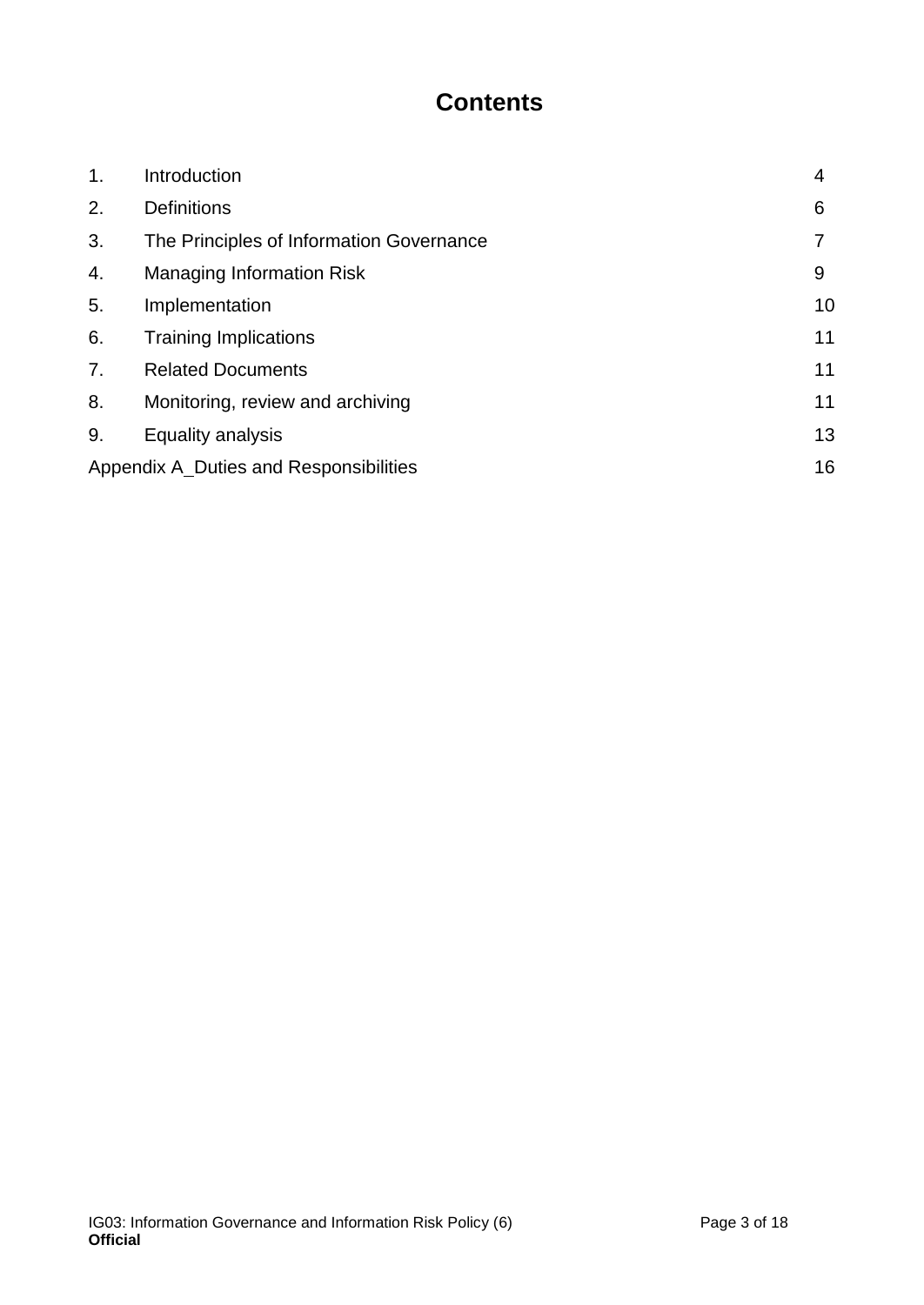# **Contents**

| 1. | Introduction                             | $\overline{4}$ |
|----|------------------------------------------|----------------|
| 2. | <b>Definitions</b>                       | 6              |
| 3. | The Principles of Information Governance |                |
| 4. | <b>Managing Information Risk</b>         | 9              |
| 5. | Implementation                           | 10             |
| 6. | <b>Training Implications</b>             | 11             |
| 7. | <b>Related Documents</b>                 | 11             |
| 8. | Monitoring, review and archiving         | 11             |
| 9. | Equality analysis                        | 13             |
|    | Appendix A Duties and Responsibilities   | 16             |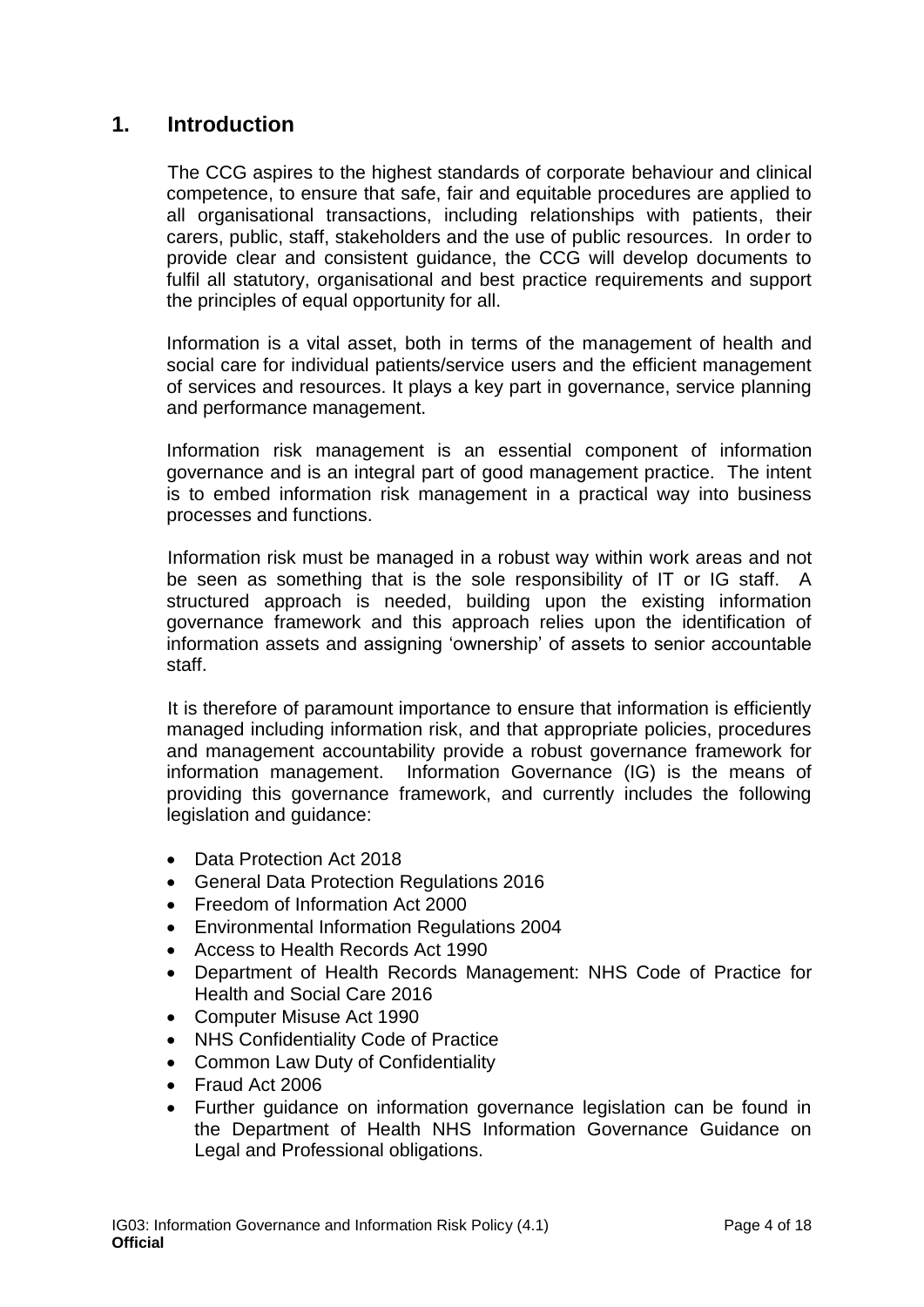## <span id="page-3-0"></span>**1. Introduction**

The CCG aspires to the highest standards of corporate behaviour and clinical competence, to ensure that safe, fair and equitable procedures are applied to all organisational transactions, including relationships with patients, their carers, public, staff, stakeholders and the use of public resources. In order to provide clear and consistent guidance, the CCG will develop documents to fulfil all statutory, organisational and best practice requirements and support the principles of equal opportunity for all.

Information is a vital asset, both in terms of the management of health and social care for individual patients/service users and the efficient management of services and resources. It plays a key part in governance, service planning and performance management.

Information risk management is an essential component of information governance and is an integral part of good management practice. The intent is to embed information risk management in a practical way into business processes and functions.

Information risk must be managed in a robust way within work areas and not be seen as something that is the sole responsibility of IT or IG staff. A structured approach is needed, building upon the existing information governance framework and this approach relies upon the identification of information assets and assigning 'ownership' of assets to senior accountable staff.

It is therefore of paramount importance to ensure that information is efficiently managed including information risk, and that appropriate policies, procedures and management accountability provide a robust governance framework for information management. Information Governance (IG) is the means of providing this governance framework, and currently includes the following legislation and guidance:

- Data Protection Act 2018
- General Data Protection Regulations 2016
- Freedom of Information Act 2000
- Environmental Information Regulations 2004
- Access to Health Records Act 1990
- Department of Health Records Management: NHS Code of Practice for Health and Social Care 2016
- Computer Misuse Act 1990
- NHS Confidentiality Code of Practice
- Common Law Duty of Confidentiality
- Fraud Act 2006
- Further guidance on information governance legislation can be found in the Department of Health NHS Information Governance Guidance on Legal and Professional obligations.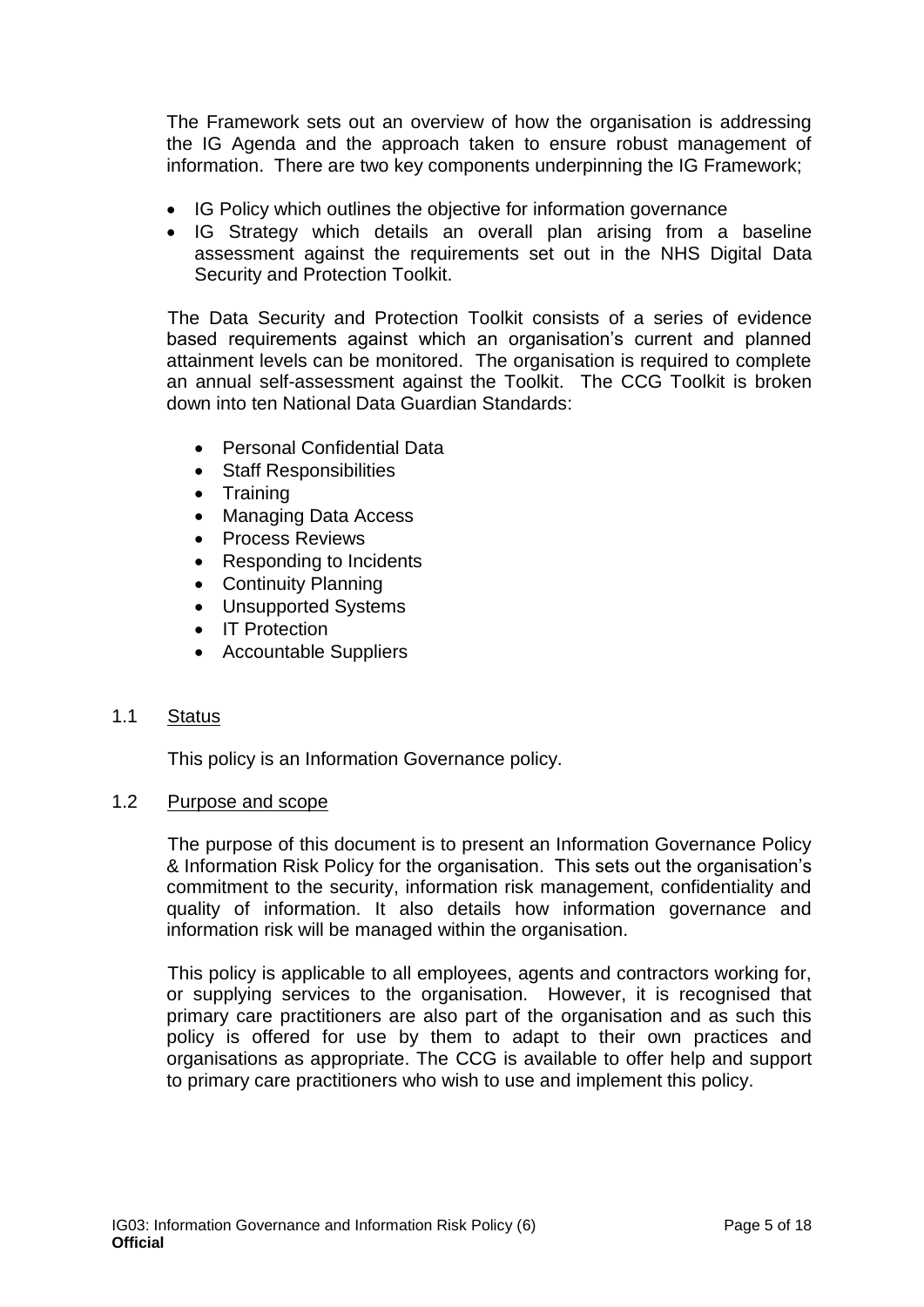The Framework sets out an overview of how the organisation is addressing the IG Agenda and the approach taken to ensure robust management of information. There are two key components underpinning the IG Framework;

- IG Policy which outlines the objective for information governance
- IG Strategy which details an overall plan arising from a baseline assessment against the requirements set out in the NHS Digital Data Security and Protection Toolkit.

The Data Security and Protection Toolkit consists of a series of evidence based requirements against which an organisation's current and planned attainment levels can be monitored. The organisation is required to complete an annual self-assessment against the Toolkit. The CCG Toolkit is broken down into ten National Data Guardian Standards:

- Personal Confidential Data
- Staff Responsibilities
- Training
- Managing Data Access
- Process Reviews
- Responding to Incidents
- Continuity Planning
- Unsupported Systems
- IT Protection
- Accountable Suppliers

### 1.1 Status

This policy is an Information Governance policy.

#### 1.2 Purpose and scope

The purpose of this document is to present an Information Governance Policy & Information Risk Policy for the organisation. This sets out the organisation's commitment to the security, information risk management, confidentiality and quality of information. It also details how information governance and information risk will be managed within the organisation.

This policy is applicable to all employees, agents and contractors working for, or supplying services to the organisation. However, it is recognised that primary care practitioners are also part of the organisation and as such this policy is offered for use by them to adapt to their own practices and organisations as appropriate. The CCG is available to offer help and support to primary care practitioners who wish to use and implement this policy.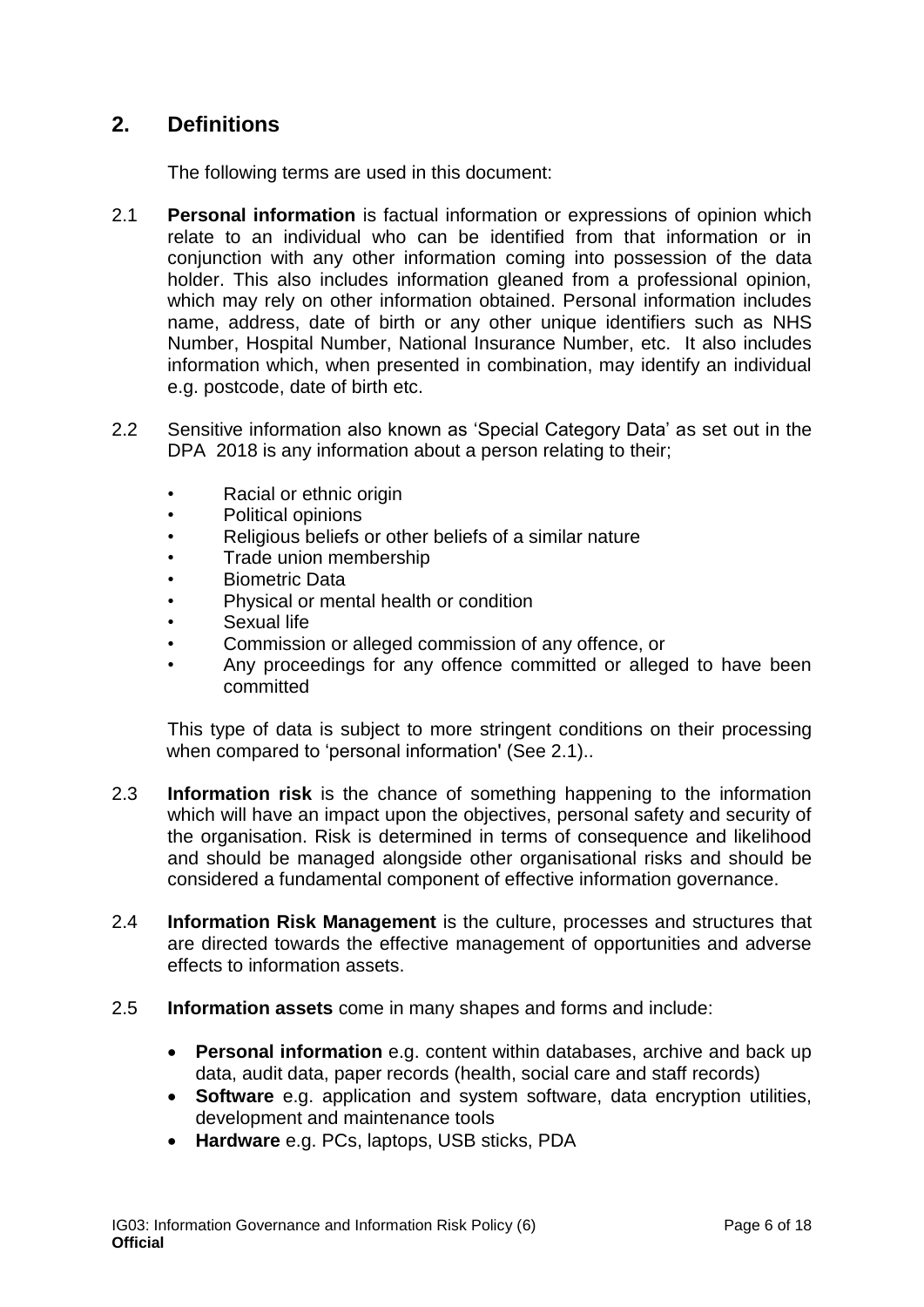## <span id="page-5-0"></span>**2. Definitions**

The following terms are used in this document:

- 2.1 **Personal information** is factual information or expressions of opinion which relate to an individual who can be identified from that information or in conjunction with any other information coming into possession of the data holder. This also includes information gleaned from a professional opinion, which may rely on other information obtained. Personal information includes name, address, date of birth or any other unique identifiers such as NHS Number, Hospital Number, National Insurance Number, etc. It also includes information which, when presented in combination, may identify an individual e.g. postcode, date of birth etc.
- 2.2 Sensitive information also known as 'Special Category Data' as set out in the DPA 2018 is any information about a person relating to their;
	- Racial or ethnic origin
	- Political opinions
	- Religious beliefs or other beliefs of a similar nature
	- Trade union membership
	- Biometric Data
	- Physical or mental health or condition
	- Sexual life
	- Commission or alleged commission of any offence, or
	- Any proceedings for any offence committed or alleged to have been committed

This type of data is subject to more stringent conditions on their processing when compared to 'personal information' (See 2.1)..

- 2.3 **Information risk** is the chance of something happening to the information which will have an impact upon the objectives, personal safety and security of the organisation. Risk is determined in terms of consequence and likelihood and should be managed alongside other organisational risks and should be considered a fundamental component of effective information governance.
- 2.4 **Information Risk Management** is the culture, processes and structures that are directed towards the effective management of opportunities and adverse effects to information assets.
- 2.5 **Information assets** come in many shapes and forms and include:
	- **Personal information** e.g. content within databases, archive and back up data, audit data, paper records (health, social care and staff records)
	- **Software** e.g. application and system software, data encryption utilities, development and maintenance tools
	- **Hardware** e.g. PCs, laptops, USB sticks, PDA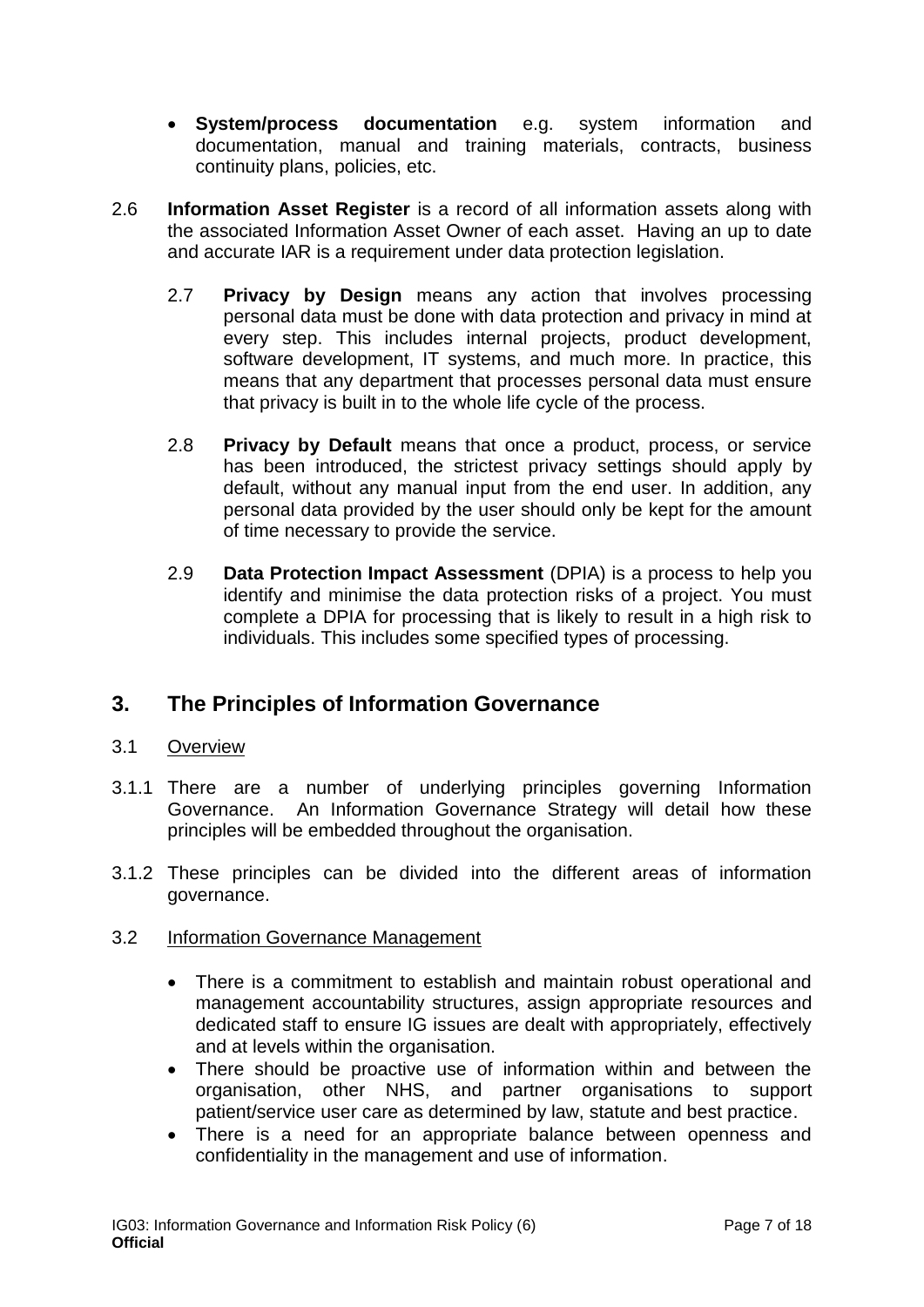- **System/process documentation** e.g. system information and documentation, manual and training materials, contracts, business continuity plans, policies, etc.
- 2.6 **Information Asset Register** is a record of all information assets along with the associated Information Asset Owner of each asset. Having an up to date and accurate IAR is a requirement under data protection legislation.
	- 2.7 **Privacy by Design** means any action that involves processing personal data must be done with data protection and privacy in mind at every step. This includes internal projects, product development, software development, IT systems, and much more. In practice, this means that any department that processes personal data must ensure that privacy is built in to the whole life cycle of the process.
	- 2.8 **Privacy by Default** means that once a product, process, or service has been introduced, the strictest privacy settings should apply by default, without any manual input from the end user. In addition, any personal data provided by the user should only be kept for the amount of time necessary to provide the service.
	- 2.9 **Data Protection Impact Assessment** (DPIA) is a process to help you identify and minimise the data protection risks of a project. You must complete a DPIA for processing that is likely to result in a high risk to individuals. This includes some specified types of processing.

# <span id="page-6-0"></span>**3. The Principles of Information Governance**

### 3.1 Overview

- 3.1.1 There are a number of underlying principles governing Information Governance. An Information Governance Strategy will detail how these principles will be embedded throughout the organisation.
- 3.1.2 These principles can be divided into the different areas of information governance.

### 3.2 Information Governance Management

- There is a commitment to establish and maintain robust operational and management accountability structures, assign appropriate resources and dedicated staff to ensure IG issues are dealt with appropriately, effectively and at levels within the organisation.
- There should be proactive use of information within and between the organisation, other NHS, and partner organisations to support patient/service user care as determined by law, statute and best practice.
- There is a need for an appropriate balance between openness and confidentiality in the management and use of information.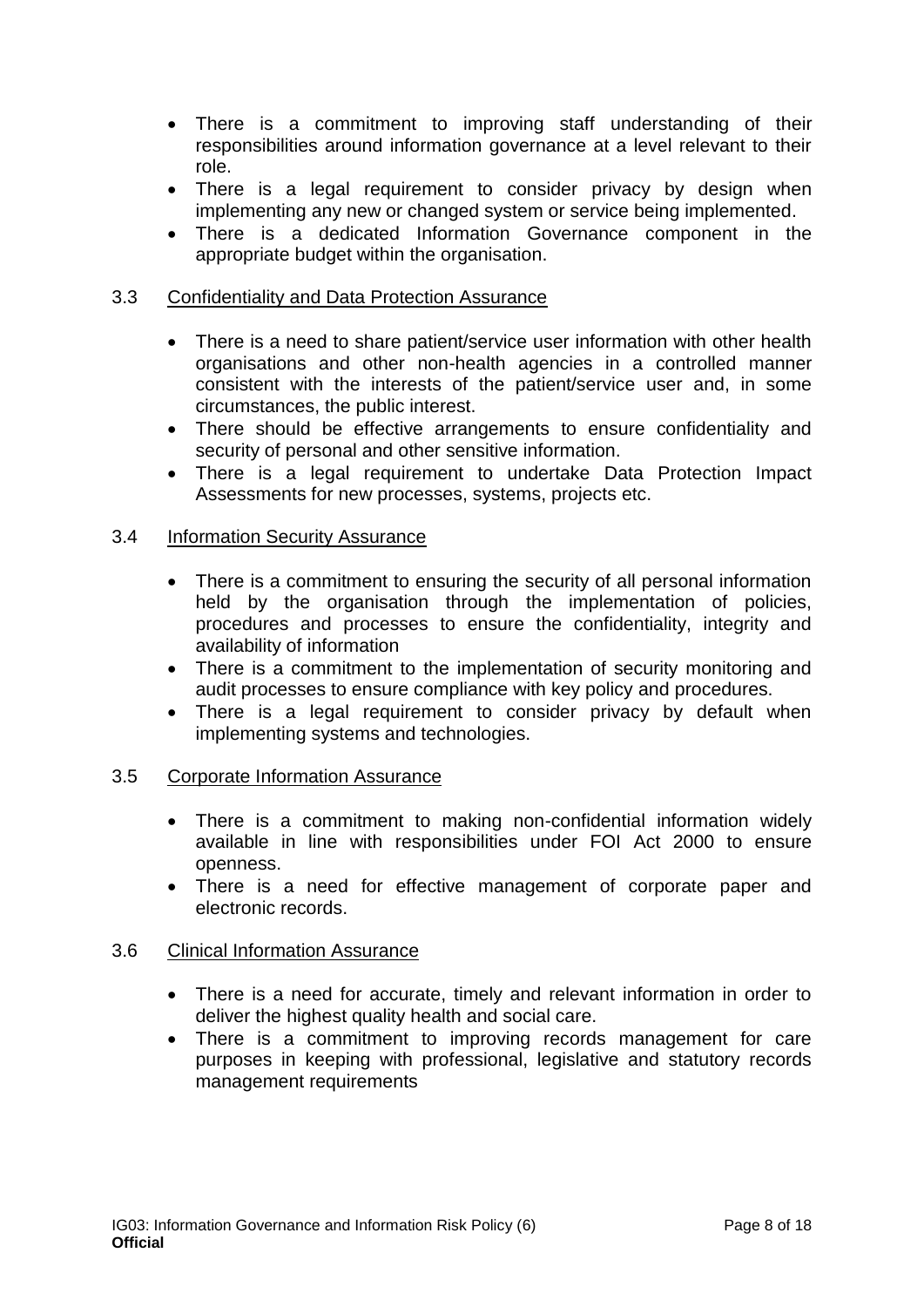- There is a commitment to improving staff understanding of their responsibilities around information governance at a level relevant to their role.
- There is a legal requirement to consider privacy by design when implementing any new or changed system or service being implemented.
- There is a dedicated Information Governance component in the appropriate budget within the organisation.

#### 3.3 Confidentiality and Data Protection Assurance

- There is a need to share patient/service user information with other health organisations and other non-health agencies in a controlled manner consistent with the interests of the patient/service user and, in some circumstances, the public interest.
- There should be effective arrangements to ensure confidentiality and security of personal and other sensitive information.
- There is a legal requirement to undertake Data Protection Impact Assessments for new processes, systems, projects etc.

#### 3.4 Information Security Assurance

- There is a commitment to ensuring the security of all personal information held by the organisation through the implementation of policies, procedures and processes to ensure the confidentiality, integrity and availability of information
- There is a commitment to the implementation of security monitoring and audit processes to ensure compliance with key policy and procedures.
- There is a legal requirement to consider privacy by default when implementing systems and technologies.

#### 3.5 Corporate Information Assurance

- There is a commitment to making non-confidential information widely available in line with responsibilities under FOI Act 2000 to ensure openness.
- There is a need for effective management of corporate paper and electronic records.

#### 3.6 Clinical Information Assurance

- There is a need for accurate, timely and relevant information in order to deliver the highest quality health and social care.
- There is a commitment to improving records management for care purposes in keeping with professional, legislative and statutory records management requirements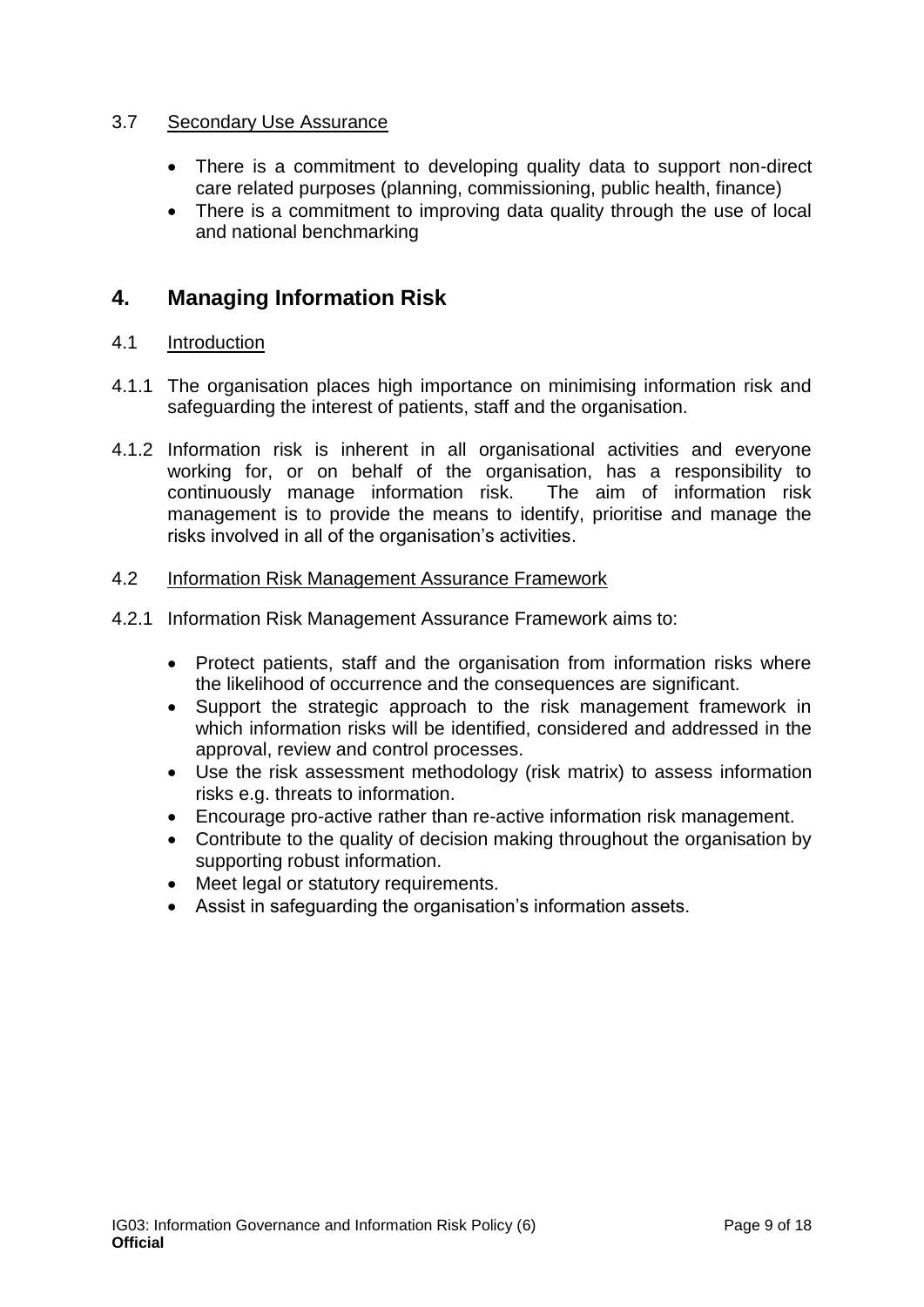### 3.7 Secondary Use Assurance

- There is a commitment to developing quality data to support non-direct care related purposes (planning, commissioning, public health, finance)
- There is a commitment to improving data quality through the use of local and national benchmarking

# <span id="page-8-0"></span>**4. Managing Information Risk**

### 4.1 Introduction

- 4.1.1 The organisation places high importance on minimising information risk and safeguarding the interest of patients, staff and the organisation.
- 4.1.2 Information risk is inherent in all organisational activities and everyone working for, or on behalf of the organisation, has a responsibility to continuously manage information risk. The aim of information risk management is to provide the means to identify, prioritise and manage the risks involved in all of the organisation's activities.

### 4.2 Information Risk Management Assurance Framework

- 4.2.1 Information Risk Management Assurance Framework aims to:
	- Protect patients, staff and the organisation from information risks where the likelihood of occurrence and the consequences are significant.
	- Support the strategic approach to the risk management framework in which information risks will be identified, considered and addressed in the approval, review and control processes.
	- Use the risk assessment methodology (risk matrix) to assess information risks e.g. threats to information.
	- Encourage pro-active rather than re-active information risk management.
	- Contribute to the quality of decision making throughout the organisation by supporting robust information.
	- Meet legal or statutory requirements.
	- Assist in safeguarding the organisation's information assets.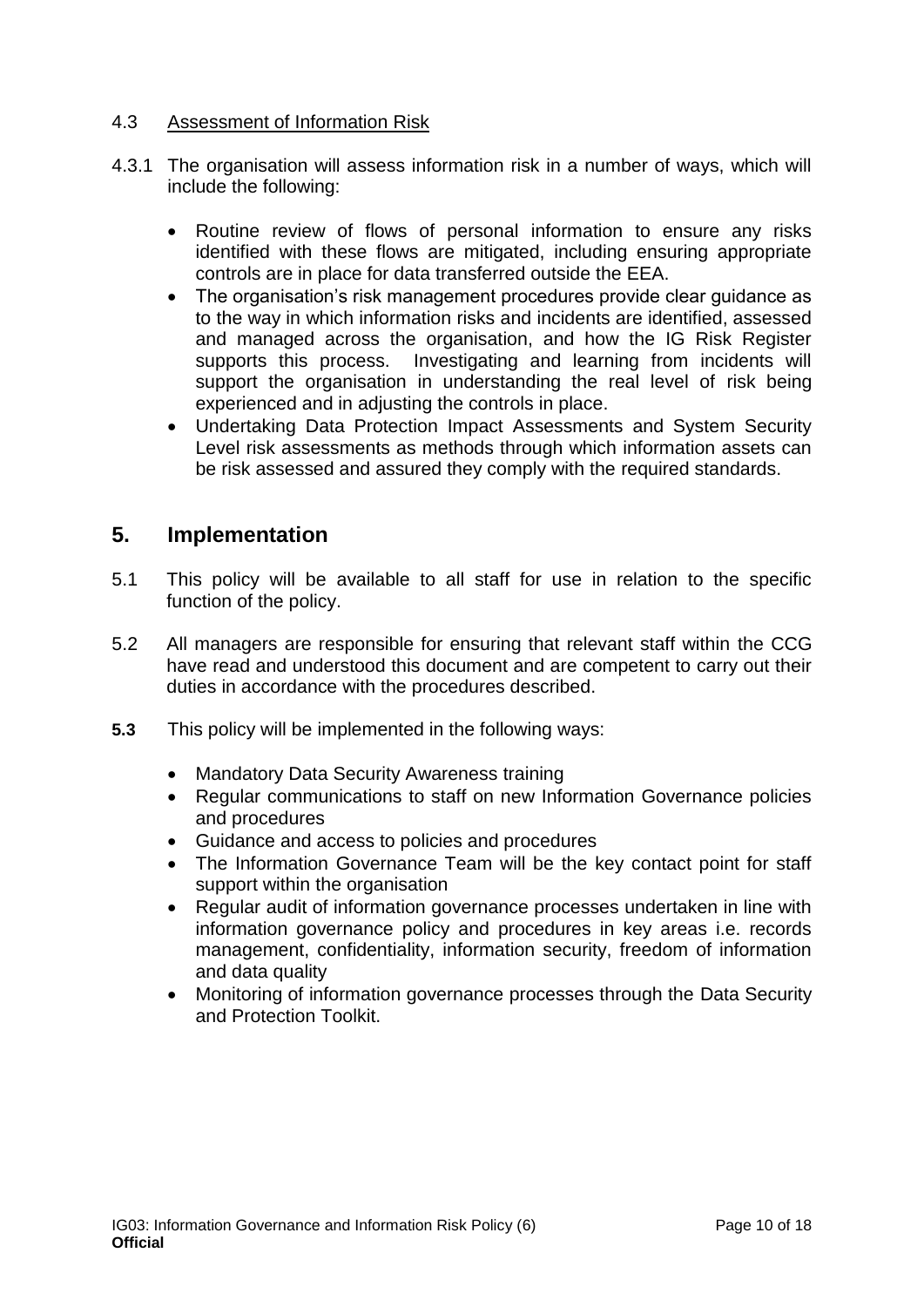### 4.3 Assessment of Information Risk

- 4.3.1 The organisation will assess information risk in a number of ways, which will include the following:
	- Routine review of flows of personal information to ensure any risks identified with these flows are mitigated, including ensuring appropriate controls are in place for data transferred outside the EEA.
	- The organisation's risk management procedures provide clear guidance as to the way in which information risks and incidents are identified, assessed and managed across the organisation, and how the IG Risk Register supports this process. Investigating and learning from incidents will support the organisation in understanding the real level of risk being experienced and in adjusting the controls in place.
	- Undertaking Data Protection Impact Assessments and System Security Level risk assessments as methods through which information assets can be risk assessed and assured they comply with the required standards.

### <span id="page-9-0"></span>**5. Implementation**

- 5.1 This policy will be available to all staff for use in relation to the specific function of the policy.
- 5.2 All managers are responsible for ensuring that relevant staff within the CCG have read and understood this document and are competent to carry out their duties in accordance with the procedures described.
- **5.3** This policy will be implemented in the following ways:
	- Mandatory Data Security Awareness training
	- Regular communications to staff on new Information Governance policies and procedures
	- Guidance and access to policies and procedures
	- The Information Governance Team will be the key contact point for staff support within the organisation
	- Regular audit of information governance processes undertaken in line with information governance policy and procedures in key areas i.e. records management, confidentiality, information security, freedom of information and data quality
	- Monitoring of information governance processes through the Data Security and Protection Toolkit.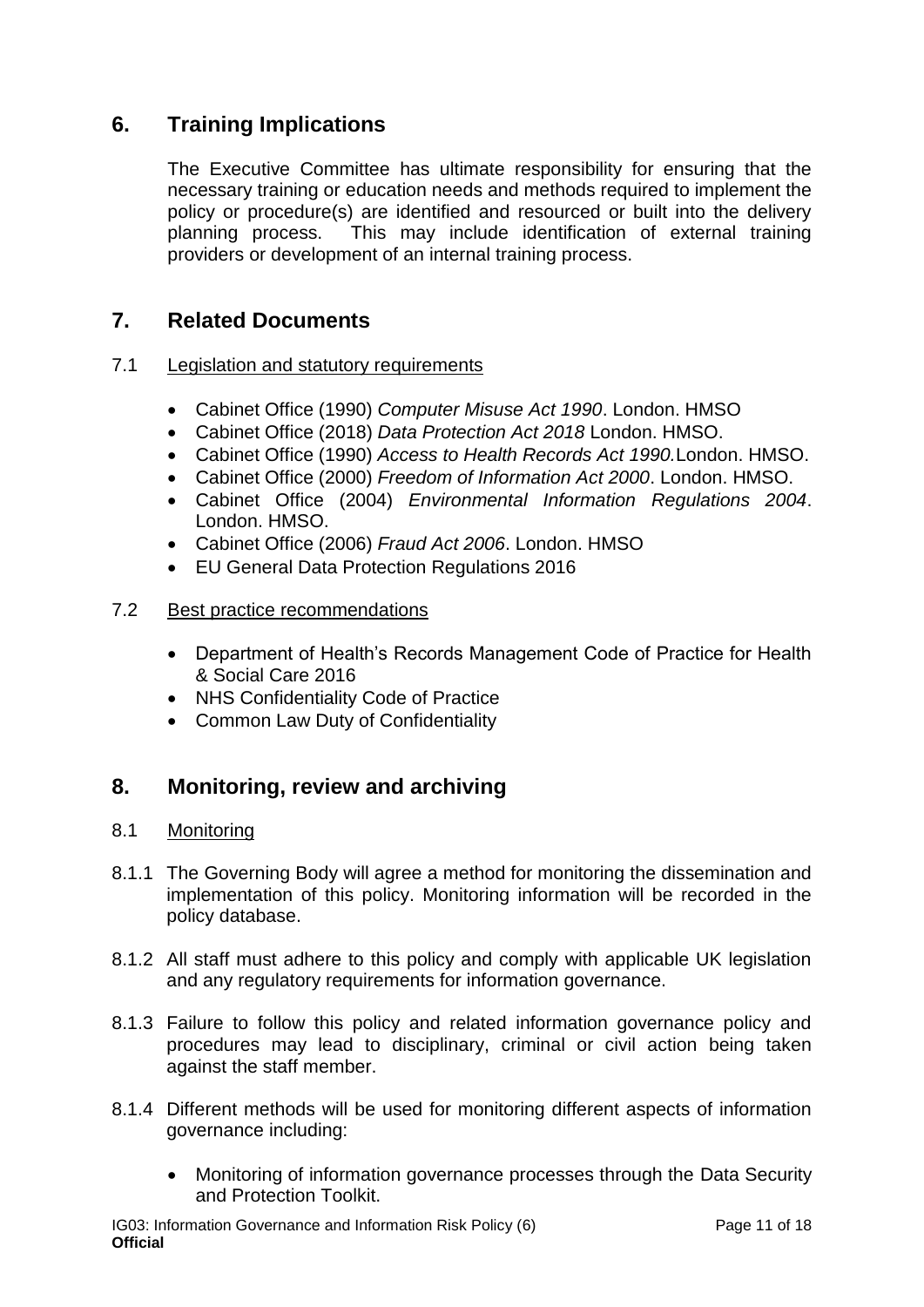## <span id="page-10-0"></span>**6. Training Implications**

The Executive Committee has ultimate responsibility for ensuring that the necessary training or education needs and methods required to implement the policy or procedure(s) are identified and resourced or built into the delivery planning process. This may include identification of external training providers or development of an internal training process.

## <span id="page-10-1"></span>**7. Related Documents**

### 7.1 Legislation and statutory requirements

- Cabinet Office (1990) *Computer Misuse Act 1990*. London. HMSO
- Cabinet Office (2018) *Data Protection Act 2018* London. HMSO.
- Cabinet Office (1990) *Access to Health Records Act 1990.*London. HMSO.
- Cabinet Office (2000) *Freedom of Information Act 2000*. London. HMSO.
- Cabinet Office (2004) *Environmental Information Regulations 2004*. London. HMSO.
- Cabinet Office (2006) *Fraud Act 2006*. London. HMSO
- EU General Data Protection Regulations 2016

### 7.2 Best practice recommendations

- Department of Health's Records Management Code of Practice for Health & Social Care 2016
- NHS Confidentiality Code of Practice
- Common Law Duty of Confidentiality

### <span id="page-10-2"></span>**8. Monitoring, review and archiving**

### 8.1 Monitoring

- 8.1.1 The Governing Body will agree a method for monitoring the dissemination and implementation of this policy. Monitoring information will be recorded in the policy database.
- 8.1.2 All staff must adhere to this policy and comply with applicable UK legislation and any regulatory requirements for information governance.
- 8.1.3 Failure to follow this policy and related information governance policy and procedures may lead to disciplinary, criminal or civil action being taken against the staff member.
- 8.1.4 Different methods will be used for monitoring different aspects of information governance including:
	- Monitoring of information governance processes through the Data Security and Protection Toolkit.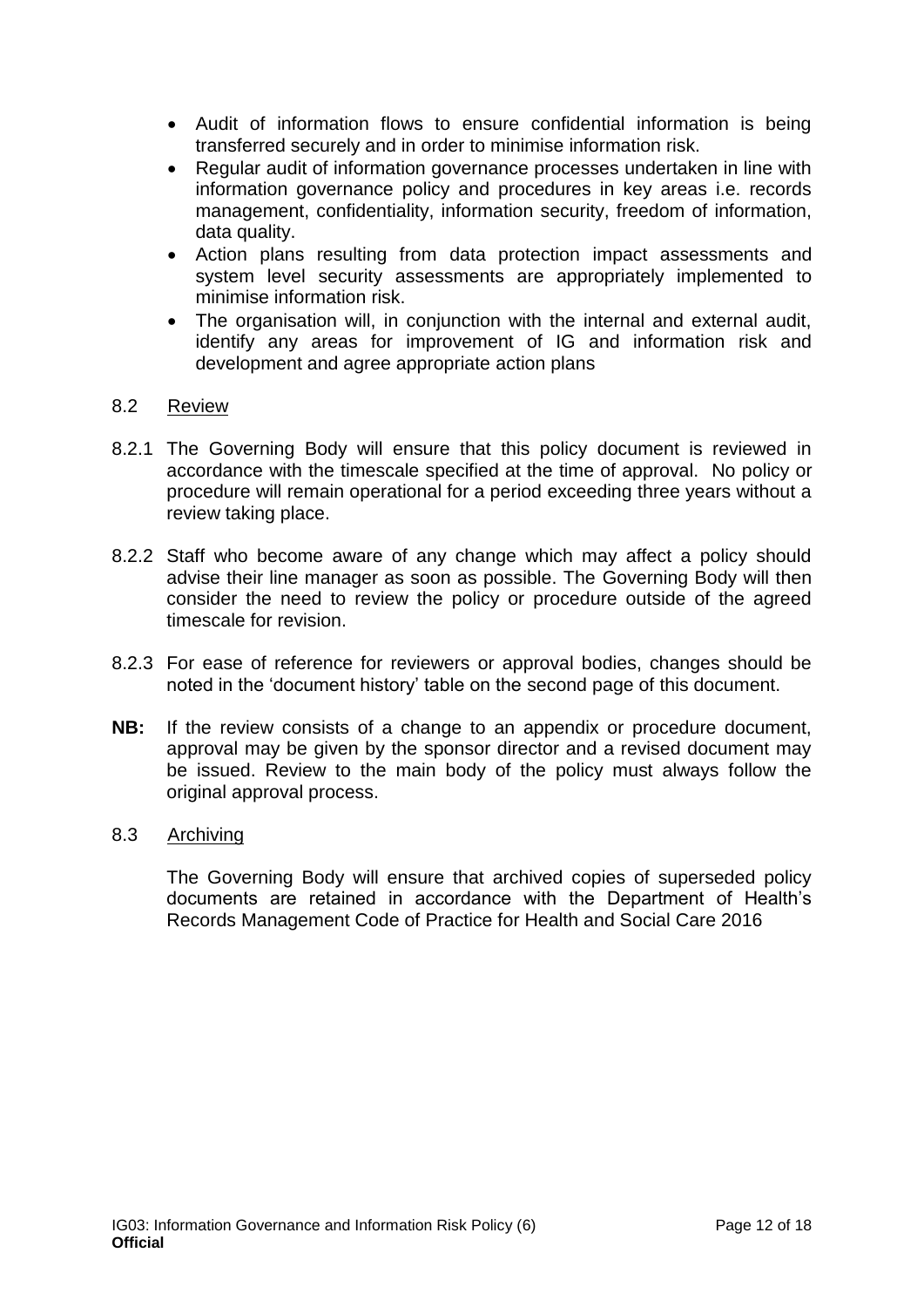- Audit of information flows to ensure confidential information is being transferred securely and in order to minimise information risk.
- Regular audit of information governance processes undertaken in line with information governance policy and procedures in key areas i.e. records management, confidentiality, information security, freedom of information, data quality.
- Action plans resulting from data protection impact assessments and system level security assessments are appropriately implemented to minimise information risk.
- The organisation will, in conjunction with the internal and external audit, identify any areas for improvement of IG and information risk and development and agree appropriate action plans

### 8.2 Review

- 8.2.1 The Governing Body will ensure that this policy document is reviewed in accordance with the timescale specified at the time of approval. No policy or procedure will remain operational for a period exceeding three years without a review taking place.
- 8.2.2 Staff who become aware of any change which may affect a policy should advise their line manager as soon as possible. The Governing Body will then consider the need to review the policy or procedure outside of the agreed timescale for revision.
- 8.2.3 For ease of reference for reviewers or approval bodies, changes should be noted in the 'document history' table on the second page of this document.
- **NB:** If the review consists of a change to an appendix or procedure document, approval may be given by the sponsor director and a revised document may be issued. Review to the main body of the policy must always follow the original approval process.

### 8.3 Archiving

<span id="page-11-0"></span>The Governing Body will ensure that archived copies of superseded policy documents are retained in accordance with the Department of Health's Records Management Code of Practice for Health and Social Care 2016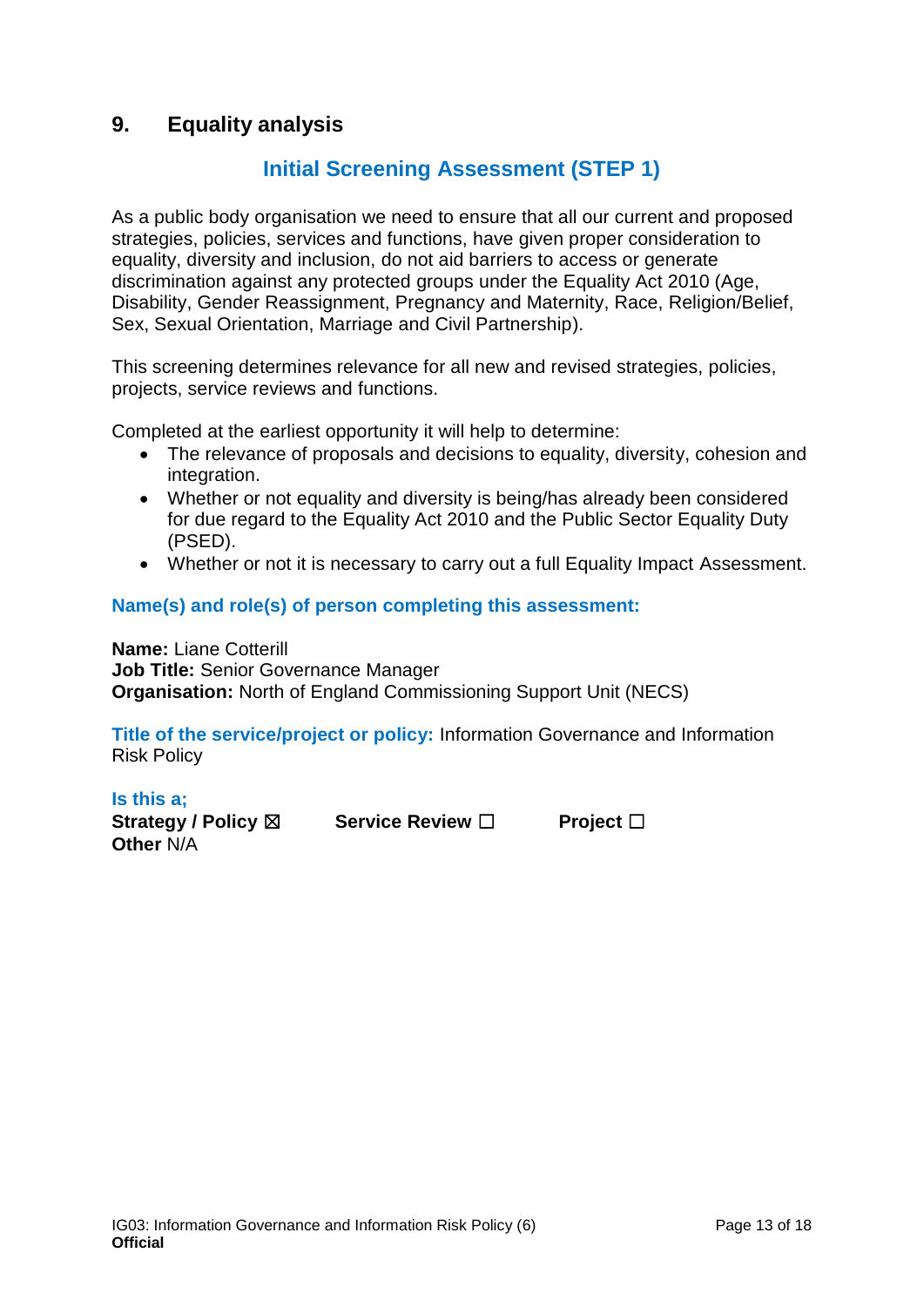## **9. Equality analysis**

# **Initial Screening Assessment (STEP 1)**

As a public body organisation we need to ensure that all our current and proposed strategies, policies, services and functions, have given proper consideration to equality, diversity and inclusion, do not aid barriers to access or generate discrimination against any protected groups under the Equality Act 2010 (Age, Disability, Gender Reassignment, Pregnancy and Maternity, Race, Religion/Belief, Sex, Sexual Orientation, Marriage and Civil Partnership).

This screening determines relevance for all new and revised strategies, policies, projects, service reviews and functions.

Completed at the earliest opportunity it will help to determine:

- The relevance of proposals and decisions to equality, diversity, cohesion and integration.
- Whether or not equality and diversity is being/has already been considered for due regard to the Equality Act 2010 and the Public Sector Equality Duty (PSED).
- Whether or not it is necessary to carry out a full Equality Impact Assessment.

### **Name(s) and role(s) of person completing this assessment:**

**Name:** Liane Cotterill **Job Title:** Senior Governance Manager **Organisation:** North of England Commissioning Support Unit (NECS)

**Title of the service/project or policy:** Information Governance and Information Risk Policy

**Is this a;** 

**Strategy / Policy** ☒ **Service Review** ☐ **Project** ☐ **Other** N/A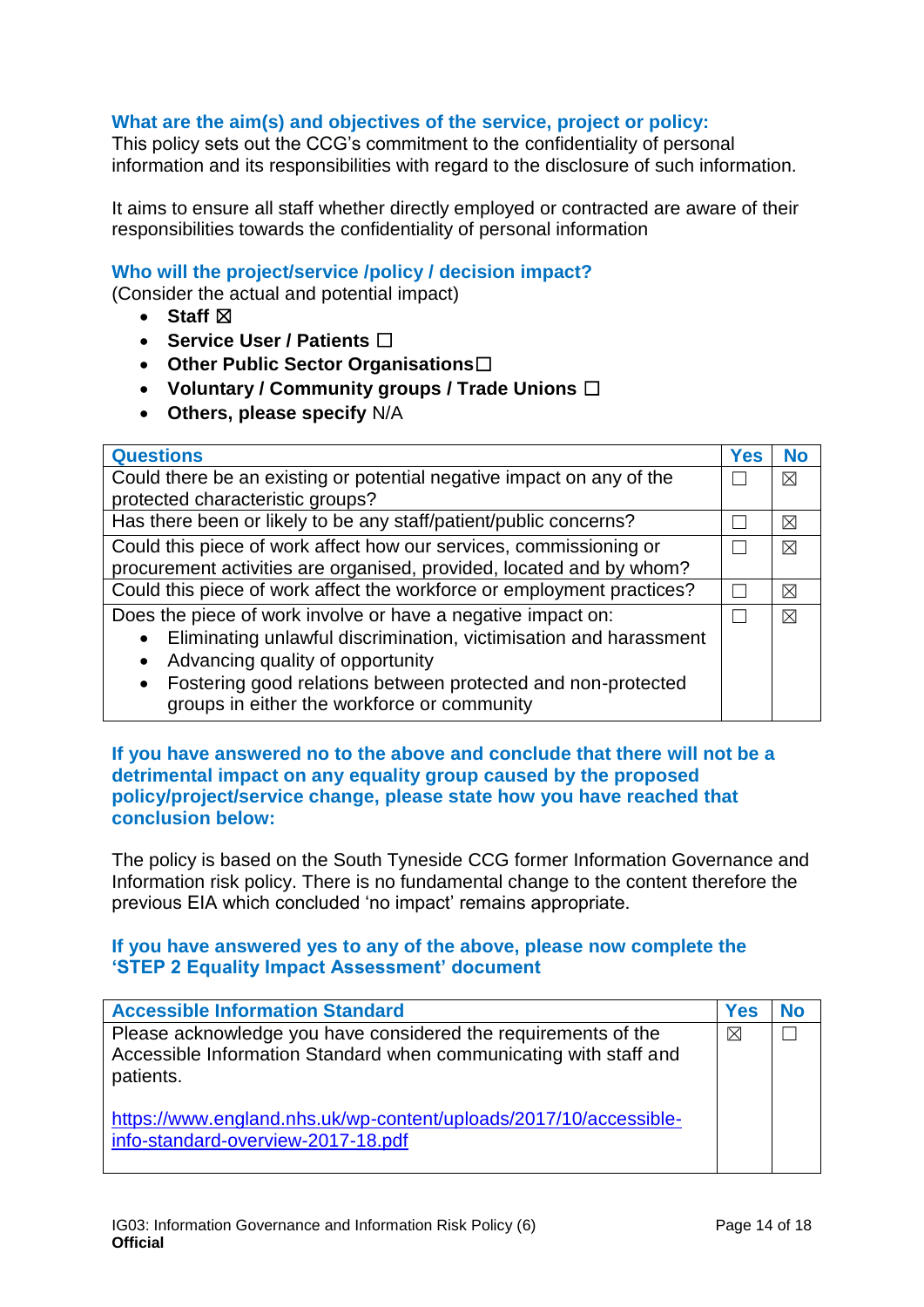### **What are the aim(s) and objectives of the service, project or policy:**

This policy sets out the CCG's commitment to the confidentiality of personal information and its responsibilities with regard to the disclosure of such information.

It aims to ensure all staff whether directly employed or contracted are aware of their responsibilities towards the confidentiality of personal information

#### **Who will the project/service /policy / decision impact?**

(Consider the actual and potential impact)

- Staff  $⊠$
- **Service User / Patients** ☐
- **Other Public Sector Organisations**☐
- **Voluntary / Community groups / Trade Unions** ☐
- **Others, please specify** N/A

| <b>Questions</b>                                                                                                         | Yes | No          |
|--------------------------------------------------------------------------------------------------------------------------|-----|-------------|
| Could there be an existing or potential negative impact on any of the                                                    |     | ⊠           |
| protected characteristic groups?                                                                                         |     |             |
| Has there been or likely to be any staff/patient/public concerns?                                                        |     | $\boxtimes$ |
| Could this piece of work affect how our services, commissioning or                                                       |     | ⊠           |
| procurement activities are organised, provided, located and by whom?                                                     |     |             |
| Could this piece of work affect the workforce or employment practices?                                                   |     | ⊠           |
| Does the piece of work involve or have a negative impact on:                                                             |     | ⊠           |
| Eliminating unlawful discrimination, victimisation and harassment                                                        |     |             |
| Advancing quality of opportunity<br>$\bullet$                                                                            |     |             |
| Fostering good relations between protected and non-protected<br>$\bullet$<br>groups in either the workforce or community |     |             |

#### **If you have answered no to the above and conclude that there will not be a detrimental impact on any equality group caused by the proposed policy/project/service change, please state how you have reached that conclusion below:**

The policy is based on the South Tyneside CCG former Information Governance and Information risk policy. There is no fundamental change to the content therefore the previous EIA which concluded 'no impact' remains appropriate.

### **If you have answered yes to any of the above, please now complete the 'STEP 2 Equality Impact Assessment' document**

| <b>Accessible Information Standard</b>                                                                                                           | Yes         |  |
|--------------------------------------------------------------------------------------------------------------------------------------------------|-------------|--|
| Please acknowledge you have considered the requirements of the<br>Accessible Information Standard when communicating with staff and<br>patients. | $\boxtimes$ |  |
| https://www.england.nhs.uk/wp-content/uploads/2017/10/accessible-<br>info-standard-overview-2017-18.pdf                                          |             |  |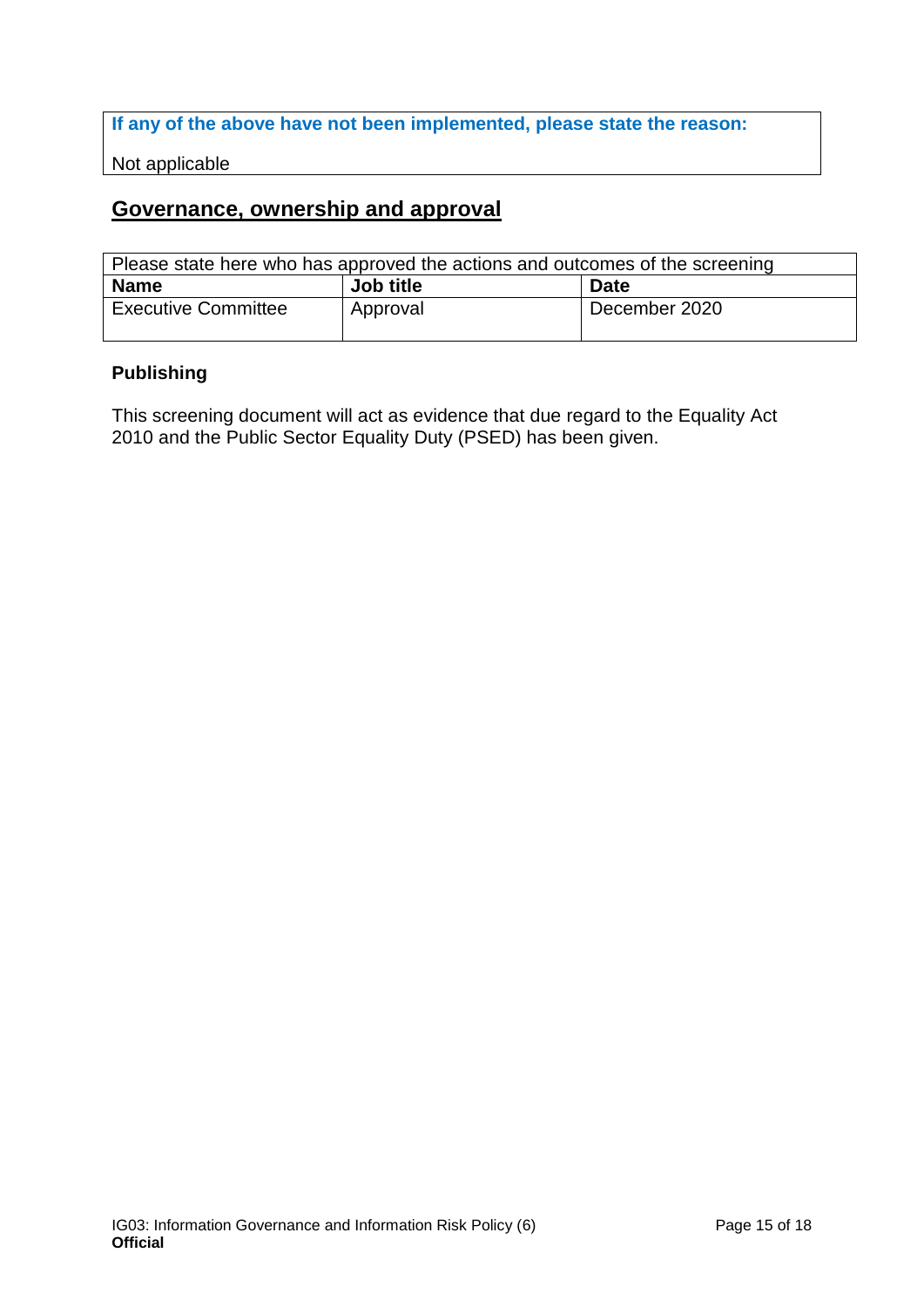### **If any of the above have not been implemented, please state the reason:**

Not applicable

### **Governance, ownership and approval**

| Please state here who has approved the actions and outcomes of the screening |           |               |
|------------------------------------------------------------------------------|-----------|---------------|
| <b>Name</b>                                                                  | Job title | <b>Date</b>   |
| <b>Executive Committee</b>                                                   | Approval  | December 2020 |

### **Publishing**

This screening document will act as evidence that due regard to the Equality Act 2010 and the Public Sector Equality Duty (PSED) has been given.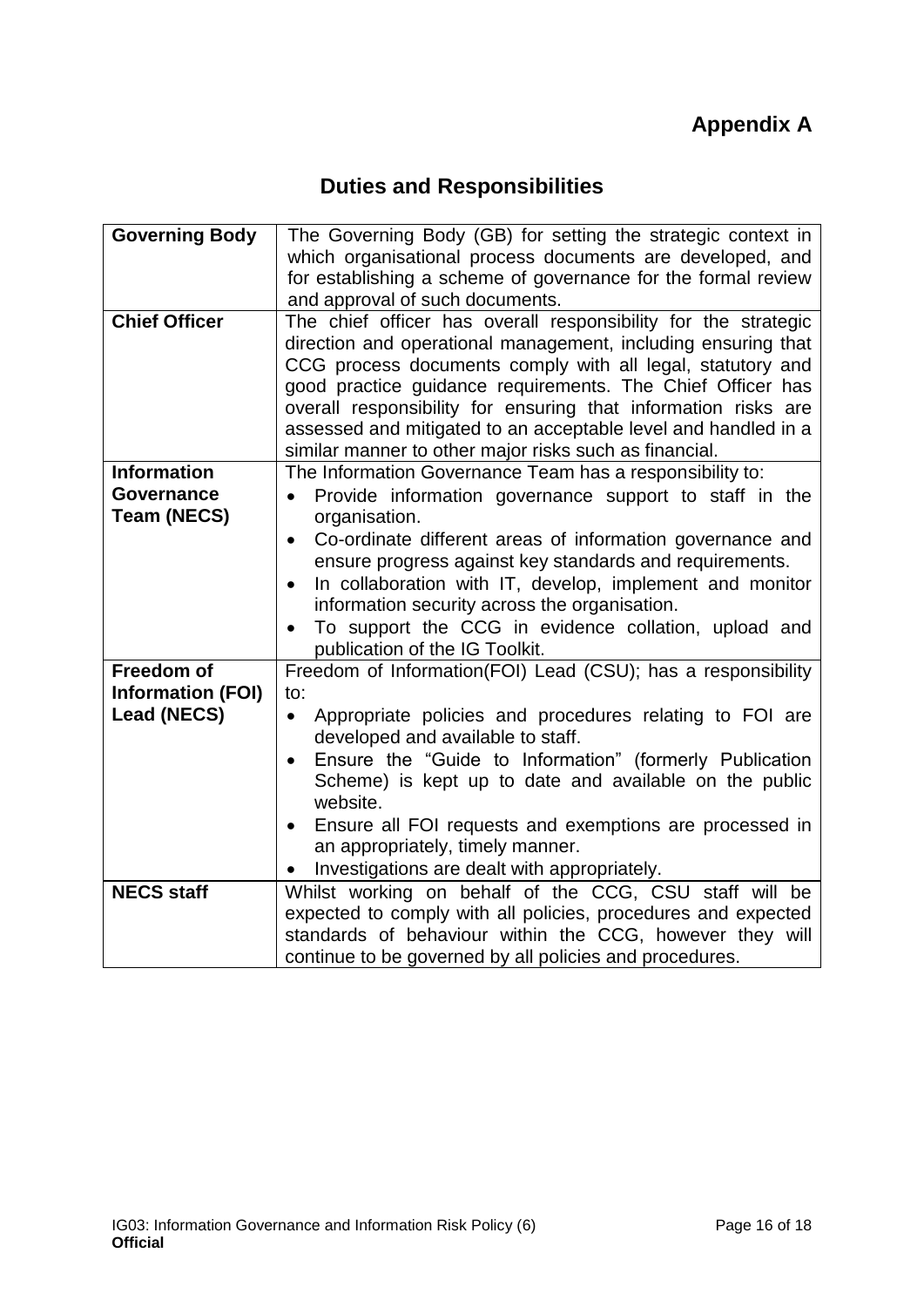# **Duties and Responsibilities**

<span id="page-15-1"></span><span id="page-15-0"></span>

| <b>Governing Body</b>                                        | The Governing Body (GB) for setting the strategic context in<br>which organisational process documents are developed, and<br>for establishing a scheme of governance for the formal review<br>and approval of such documents.                                                                                                                                                                                                                                                                             |
|--------------------------------------------------------------|-----------------------------------------------------------------------------------------------------------------------------------------------------------------------------------------------------------------------------------------------------------------------------------------------------------------------------------------------------------------------------------------------------------------------------------------------------------------------------------------------------------|
| <b>Chief Officer</b>                                         | The chief officer has overall responsibility for the strategic<br>direction and operational management, including ensuring that<br>CCG process documents comply with all legal, statutory and<br>good practice guidance requirements. The Chief Officer has<br>overall responsibility for ensuring that information risks are<br>assessed and mitigated to an acceptable level and handled in a<br>similar manner to other major risks such as financial.                                                 |
| <b>Information</b><br>Governance<br><b>Team (NECS)</b>       | The Information Governance Team has a responsibility to:<br>Provide information governance support to staff in the<br>$\bullet$<br>organisation.<br>Co-ordinate different areas of information governance and<br>$\bullet$<br>ensure progress against key standards and requirements.<br>In collaboration with IT, develop, implement and monitor<br>$\bullet$<br>information security across the organisation.<br>To support the CCG in evidence collation, upload and<br>publication of the IG Toolkit. |
| Freedom of<br><b>Information (FOI)</b><br><b>Lead (NECS)</b> | Freedom of Information(FOI) Lead (CSU); has a responsibility<br>to:<br>Appropriate policies and procedures relating to FOI are<br>$\bullet$<br>developed and available to staff.<br>Ensure the "Guide to Information" (formerly Publication<br>Scheme) is kept up to date and available on the public<br>website.<br>Ensure all FOI requests and exemptions are processed in<br>$\bullet$<br>an appropriately, timely manner.<br>Investigations are dealt with appropriately.                             |
| <b>NECS staff</b>                                            | Whilst working on behalf of the CCG, CSU staff will be<br>expected to comply with all policies, procedures and expected<br>standards of behaviour within the CCG, however they will<br>continue to be governed by all policies and procedures.                                                                                                                                                                                                                                                            |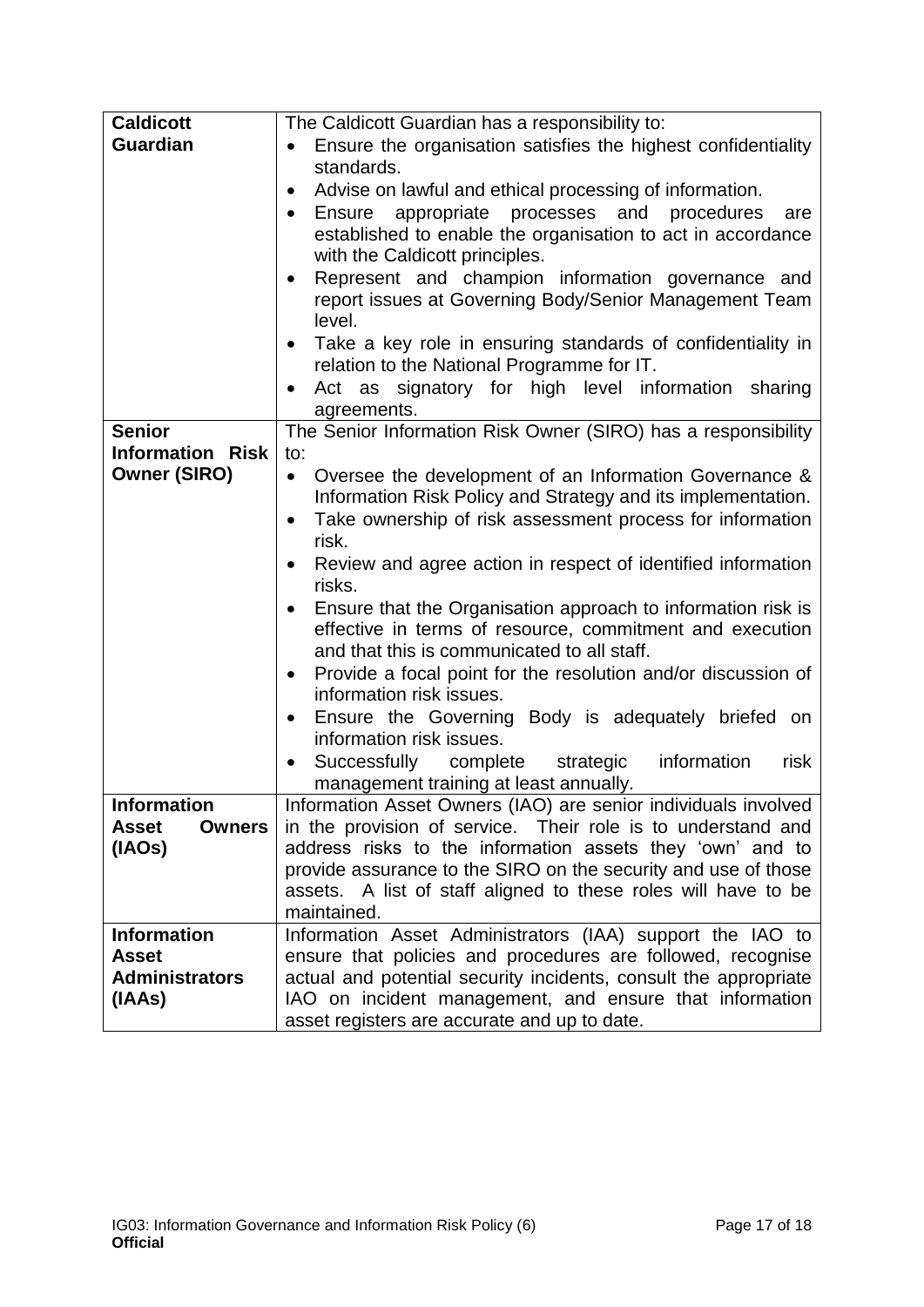| <b>Caldicott</b>        | The Caldicott Guardian has a responsibility to:                                           |  |
|-------------------------|-------------------------------------------------------------------------------------------|--|
| <b>Guardian</b>         | Ensure the organisation satisfies the highest confidentiality                             |  |
|                         | standards.                                                                                |  |
|                         | Advise on lawful and ethical processing of information.<br>٠                              |  |
|                         | Ensure appropriate processes and<br>procedures<br>are<br>$\bullet$                        |  |
|                         | established to enable the organisation to act in accordance                               |  |
|                         | with the Caldicott principles.                                                            |  |
|                         | Represent and champion information governance and<br>٠                                    |  |
|                         | report issues at Governing Body/Senior Management Team                                    |  |
|                         | level.                                                                                    |  |
|                         | Take a key role in ensuring standards of confidentiality in<br>$\bullet$                  |  |
|                         | relation to the National Programme for IT.                                                |  |
|                         | Act as signatory for high level information sharing<br>٠                                  |  |
|                         | agreements.                                                                               |  |
| <b>Senior</b>           | The Senior Information Risk Owner (SIRO) has a responsibility                             |  |
| <b>Information Risk</b> | to:                                                                                       |  |
| <b>Owner (SIRO)</b>     | Oversee the development of an Information Governance &<br>$\bullet$                       |  |
|                         | Information Risk Policy and Strategy and its implementation.                              |  |
|                         | Take ownership of risk assessment process for information<br>$\bullet$                    |  |
|                         | risk.                                                                                     |  |
|                         | Review and agree action in respect of identified information                              |  |
|                         | risks.                                                                                    |  |
|                         | Ensure that the Organisation approach to information risk is<br>$\bullet$                 |  |
|                         | effective in terms of resource, commitment and execution                                  |  |
|                         | and that this is communicated to all staff.                                               |  |
|                         | Provide a focal point for the resolution and/or discussion of<br>information risk issues. |  |
|                         | Ensure the Governing Body is adequately briefed on                                        |  |
|                         | $\bullet$<br>information risk issues.                                                     |  |
|                         | Successfully<br>information<br>complete strategic<br>risk<br>٠                            |  |
|                         | management training at least annually.                                                    |  |
| Information             | Information Asset Owners (IAO) are senior individuals involved                            |  |
| Asset<br><b>Owners</b>  | in the provision of service. Their role is to understand and                              |  |
| (IAOs)                  | address risks to the information assets they 'own' and to                                 |  |
|                         | provide assurance to the SIRO on the security and use of those                            |  |
|                         | assets. A list of staff aligned to these roles will have to be                            |  |
|                         | maintained.                                                                               |  |
| <b>Information</b>      | Information Asset Administrators (IAA) support the IAO to                                 |  |
| <b>Asset</b>            | ensure that policies and procedures are followed, recognise                               |  |
| <b>Administrators</b>   | actual and potential security incidents, consult the appropriate                          |  |
| (IAAs)                  | IAO on incident management, and ensure that information                                   |  |
|                         | asset registers are accurate and up to date.                                              |  |